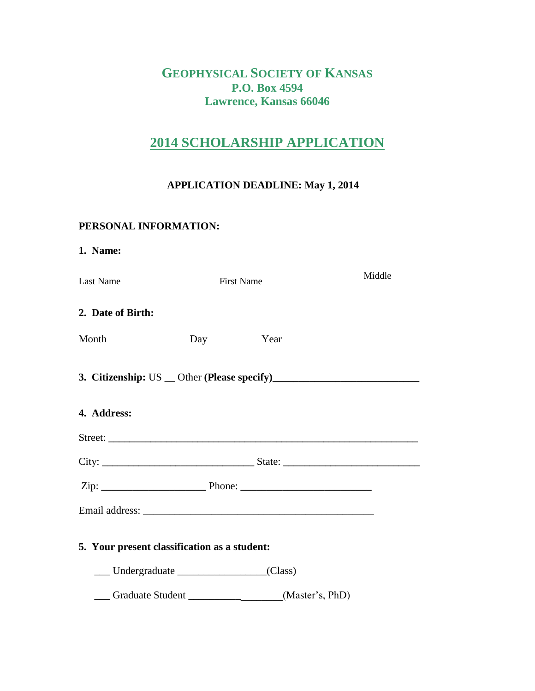## **GEOPHYSICAL SOCIETY OF KANSAS P.O. Box 4594 Lawrence, Kansas 66046**

## **2014 SCHOLARSHIP APPLICATION**

### **APPLICATION DEADLINE: May 1, 2014**

#### **PERSONAL INFORMATION:**

| 1. Name:                                     |                   |        |
|----------------------------------------------|-------------------|--------|
| Last Name                                    | <b>First Name</b> | Middle |
| 2. Date of Birth:                            |                   |        |
| Month<br>Day                                 | Year              |        |
|                                              |                   |        |
| 4. Address:                                  |                   |        |
|                                              |                   |        |
|                                              |                   |        |
|                                              |                   |        |
|                                              |                   |        |
| 5. Your present classification as a student: |                   |        |
|                                              |                   |        |
| Graduate Student (Master's, PhD)             |                   |        |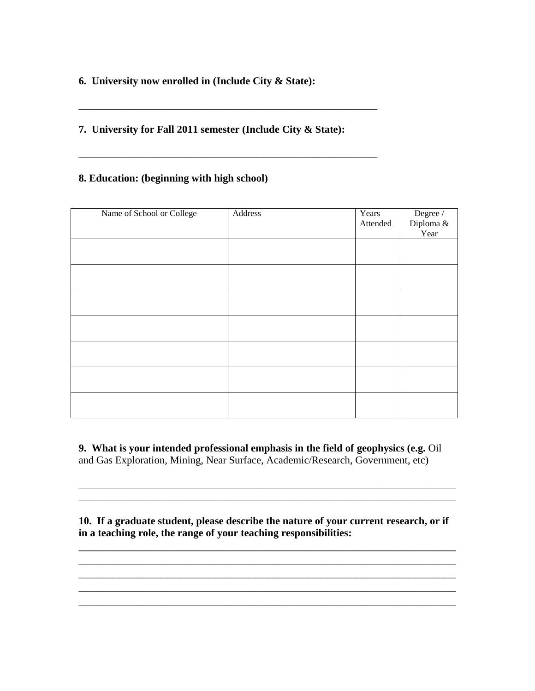**6. University now enrolled in (Include City & State):** 

#### **7. University for Fall 2011 semester (Include City & State):**

\_\_\_\_\_\_\_\_\_\_\_\_\_\_\_\_\_\_\_\_\_\_\_\_\_\_\_\_\_\_\_\_\_\_\_\_\_\_\_\_\_\_\_\_\_\_\_\_\_\_\_\_\_\_\_\_\_

\_\_\_\_\_\_\_\_\_\_\_\_\_\_\_\_\_\_\_\_\_\_\_\_\_\_\_\_\_\_\_\_\_\_\_\_\_\_\_\_\_\_\_\_\_\_\_\_\_\_\_\_\_\_\_\_\_

#### **8. Education: (beginning with high school)**

| Name of School or College | Address | Years<br>Attended | $\begin{tabular}{c} \hline \textbf{Degree}\ / \\\textbf{Diploma}\ \& \\ \hline \end{tabular}$<br>Year |
|---------------------------|---------|-------------------|-------------------------------------------------------------------------------------------------------|
|                           |         |                   |                                                                                                       |
|                           |         |                   |                                                                                                       |
|                           |         |                   |                                                                                                       |
|                           |         |                   |                                                                                                       |
|                           |         |                   |                                                                                                       |
|                           |         |                   |                                                                                                       |
|                           |         |                   |                                                                                                       |

**9. What is your intended professional emphasis in the field of geophysics (e.g.** Oil and Gas Exploration, Mining, Near Surface, Academic/Research, Government, etc)

**10. If a graduate student, please describe the nature of your current research, or if in a teaching role, the range of your teaching responsibilities:**

\_\_\_\_\_\_\_\_\_\_\_\_\_\_\_\_\_\_\_\_\_\_\_\_\_\_\_\_\_\_\_\_\_\_\_\_\_\_\_\_\_\_\_\_\_\_\_\_\_\_\_\_\_\_\_\_\_\_\_\_\_\_\_\_ \_\_\_\_\_\_\_\_\_\_\_\_\_\_\_\_\_\_\_\_\_\_\_\_\_\_\_\_\_\_\_\_\_\_\_\_\_\_\_\_\_\_\_\_\_\_\_\_\_\_\_\_\_\_\_\_\_\_\_\_\_\_\_\_ \_\_\_\_\_\_\_\_\_\_\_\_\_\_\_\_\_\_\_\_\_\_\_\_\_\_\_\_\_\_\_\_\_\_\_\_\_\_\_\_\_\_\_\_\_\_\_\_\_\_\_\_\_\_\_\_\_\_\_\_\_\_\_\_ \_\_\_\_\_\_\_\_\_\_\_\_\_\_\_\_\_\_\_\_\_\_\_\_\_\_\_\_\_\_\_\_\_\_\_\_\_\_\_\_\_\_\_\_\_\_\_\_\_\_\_\_\_\_\_\_\_\_\_\_\_\_\_\_ \_\_\_\_\_\_\_\_\_\_\_\_\_\_\_\_\_\_\_\_\_\_\_\_\_\_\_\_\_\_\_\_\_\_\_\_\_\_\_\_\_\_\_\_\_\_\_\_\_\_\_\_\_\_\_\_\_\_\_\_\_\_\_\_

\_\_\_\_\_\_\_\_\_\_\_\_\_\_\_\_\_\_\_\_\_\_\_\_\_\_\_\_\_\_\_\_\_\_\_\_\_\_\_\_\_\_\_\_\_\_\_\_\_\_\_\_\_\_\_\_\_\_\_\_\_\_\_\_\_\_\_\_\_\_\_\_  $\mathcal{L}_\text{max}$  and the contribution of the contribution of the contribution of the contribution of the contribution of